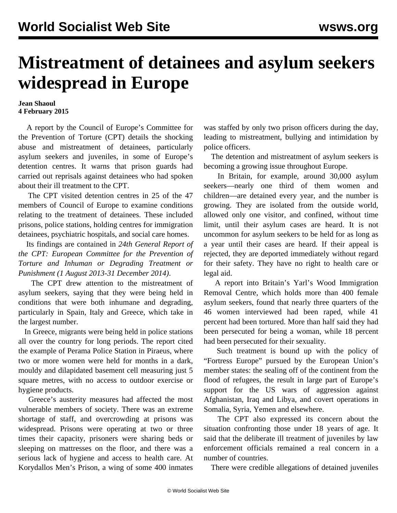## **Mistreatment of detainees and asylum seekers widespread in Europe**

## **Jean Shaoul 4 February 2015**

 A report by the Council of Europe's Committee for the Prevention of Torture (CPT) details the shocking abuse and mistreatment of detainees, particularly asylum seekers and juveniles, in some of Europe's detention centres. It warns that prison guards had carried out reprisals against detainees who had spoken about their ill treatment to the CPT.

 The CPT visited detention centres in 25 of the 47 members of Council of Europe to examine conditions relating to the treatment of detainees. These included prisons, police stations, holding centres for immigration detainees, psychiatric hospitals, and social care homes.

 Its findings are contained in *24th General Report of the CPT: European Committee for the Prevention of Torture and Inhuman or Degrading Treatment or Punishment (1 August 2013-31 December 2014)*.

 The CPT drew attention to the mistreatment of asylum seekers, saying that they were being held in conditions that were both inhumane and degrading, particularly in Spain, Italy and Greece, which take in the largest number.

 In Greece, migrants were being held in police stations all over the country for long periods. The report cited the example of Perama Police Station in Piraeus, where two or more women were held for months in a dark, mouldy and dilapidated basement cell measuring just 5 square metres, with no access to outdoor exercise or hygiene products.

 Greece's austerity measures had affected the most vulnerable members of society. There was an extreme shortage of staff, and overcrowding at prisons was widespread. Prisons were operating at two or three times their capacity, prisoners were sharing beds or sleeping on mattresses on the floor, and there was a serious lack of hygiene and access to health care. At Korydallos Men's Prison, a wing of some 400 inmates

was staffed by only two prison officers during the day, leading to mistreatment, bullying and intimidation by police officers.

 The detention and mistreatment of asylum seekers is becoming a growing issue throughout Europe.

 In Britain, for example, around 30,000 asylum seekers—nearly one third of them women and children—are detained every year, and the number is growing. They are isolated from the outside world, allowed only one visitor, and confined, without time limit, until their asylum cases are heard. It is not uncommon for asylum seekers to be held for as long as a year until their cases are heard. If their appeal is rejected, they are deported immediately without regard for their safety. They have no right to health care or legal aid.

 A report into Britain's Yarl's Wood Immigration Removal Centre, which holds more than 400 female asylum seekers, found that nearly three quarters of the 46 women interviewed had been raped, while 41 percent had been tortured. More than half said they had been persecuted for being a woman, while 18 percent had been persecuted for their sexuality.

 Such treatment is bound up with the policy of "Fortress Europe" pursued by the European Union's member states: the sealing off of the continent from the flood of refugees, the result in large part of Europe's support for the US wars of aggression against Afghanistan, Iraq and Libya, and covert operations in Somalia, Syria, Yemen and elsewhere.

 The CPT also expressed its concern about the situation confronting those under 18 years of age. It said that the deliberate ill treatment of juveniles by law enforcement officials remained a real concern in a number of countries.

There were credible allegations of detained juveniles